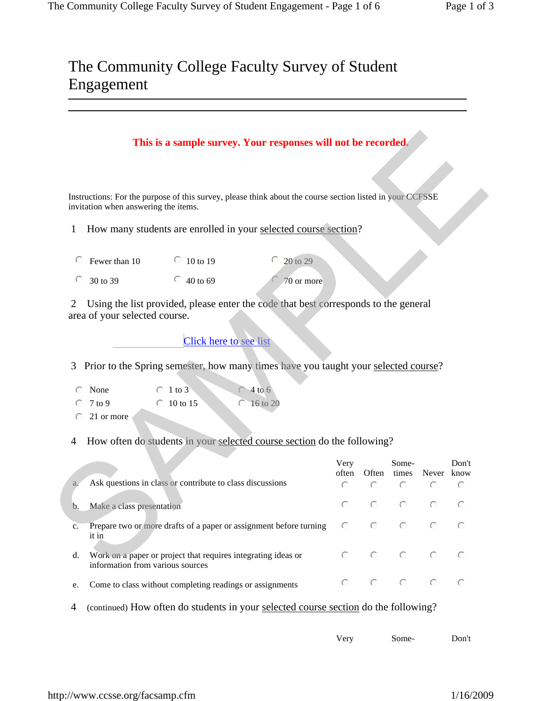|                | invitation when answering the items. | Instructions: For the purpose of this survey, please think about the course section listed in your CCFSSE |                              |               |         |           |                        |                  |
|----------------|--------------------------------------|-----------------------------------------------------------------------------------------------------------|------------------------------|---------------|---------|-----------|------------------------|------------------|
| 1              |                                      | How many students are enrolled in your selected course section?                                           |                              |               |         |           |                        |                  |
|                | Fewer than 10                        | $\degree$ 10 to 19                                                                                        | $\degree$ 20 to 29           |               |         |           |                        |                  |
|                | 30 to 39                             | $\degree$ 40 to 69                                                                                        | 70 or more                   |               |         |           |                        |                  |
| $\overline{2}$ | area of your selected course.        | Using the list provided, please enter the code that best corresponds to the general                       |                              |               |         |           |                        |                  |
|                |                                      |                                                                                                           |                              |               |         |           |                        |                  |
|                |                                      | <b>Click here to see list</b>                                                                             |                              |               |         |           |                        |                  |
| 3              |                                      | Prior to the Spring semester, how many times have you taught your selected course?<br>$\circ$ 1 to 3      |                              |               |         |           |                        |                  |
| $\odot$        | None<br>$7$ to $9$<br>21 or more     | $\degree$ 10 to 15                                                                                        | $4$ to 6<br>$\odot$ 16 to 20 |               |         |           |                        |                  |
| 4              |                                      | How often do students in your selected course section do the following?                                   |                              |               |         |           |                        |                  |
|                |                                      |                                                                                                           |                              | Very<br>often |         | Some-     | Often times Never know |                  |
| a.             |                                      | Ask questions in class or contribute to class discussions                                                 |                              | $\odot$       | $\odot$ | $\odot$   | $\bigcirc$             | $\odot$          |
| b.             | Make a class presentation            |                                                                                                           |                              | $\odot$       | $\odot$ | $\bigcap$ | $\odot$                | $\subset$        |
| c.             | it in                                | Prepare two or more drafts of a paper or assignment before turning                                        |                              | $\odot$       | $\odot$ | $\odot$   |                        | $\odot$          |
| d.             | information from various sources     | Work on a paper or project that requires integrating ideas or                                             |                              | $\bigcirc$    | $\circ$ | $\circ$   | $\odot$                | Don't<br>$\odot$ |

| Very<br>Don't<br>Some- |
|------------------------|
|------------------------|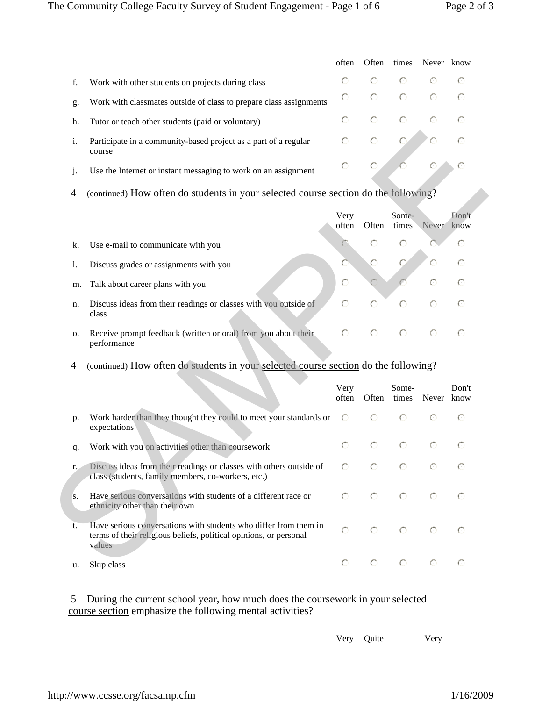|    |                                                                           | often   | Often   |                 | times Never know                                                                             |  |
|----|---------------------------------------------------------------------------|---------|---------|-----------------|----------------------------------------------------------------------------------------------|--|
|    | Work with other students on projects during class                         | $\odot$ |         | $\circ$ $\circ$ |                                                                                              |  |
| g. | Work with classmates outside of class to prepare class assignments        | $\odot$ | $\odot$ |                 | $\begin{array}{cccc}\n\bullet & \bullet & \bullet & \bullet & \bullet\n\end{array}$          |  |
| h. | Tutor or teach other students (paid or voluntary)                         |         |         |                 | $\begin{array}{ccccccccccccccccc} \circ & \circ & \circ & \circ & \circ & \circ \end{array}$ |  |
|    | Participate in a community-based project as a part of a regular<br>course |         |         |                 | $\begin{array}{ccc} \circ & \circ & \circ & \circ & \circ \end{array}$                       |  |
|    | Use the Internet or instant messaging to work on an assignment            |         |         |                 | $C$ $C$ $C$ $C$ $C$                                                                          |  |

|    |                                                                               | Very<br>often | Often      | Some-<br>times | Never                                                                                  | Don't<br>know |
|----|-------------------------------------------------------------------------------|---------------|------------|----------------|----------------------------------------------------------------------------------------|---------------|
| k. | Use e-mail to communicate with you                                            |               |            |                |                                                                                        |               |
| 1. | Discuss grades or assignments with you                                        |               | $\bigcap$  |                |                                                                                        |               |
|    | m. Talk about career plans with you                                           | $\bigcirc$    |            |                |                                                                                        |               |
| n. | Discuss ideas from their readings or classes with you outside of<br>class     |               |            | $\bigcirc$     |                                                                                        |               |
| 0. | Receive prompt feedback (written or oral) from you about their<br>performance | $\odot$       | $\bigcirc$ |                | $\begin{array}{ccccccccc}\n\bullet & & & \bullet & & \bullet & & \bullet\n\end{array}$ |               |

| i.                   | Participate in a community-based project as a part of a regular<br>course                                                                       | $\bigcap$     |           |                |            |               |
|----------------------|-------------------------------------------------------------------------------------------------------------------------------------------------|---------------|-----------|----------------|------------|---------------|
| j.                   | Use the Internet or instant messaging to work on an assignment                                                                                  | $\bigcap$     | $\bigcap$ |                | €          | $\subset$     |
| $\overline{4}$       | (continued) How often do students in your selected course section do the following?                                                             |               |           |                |            |               |
|                      |                                                                                                                                                 | Very<br>often | Often     | Some-<br>times | Never      | Don't<br>know |
| k.                   | Use e-mail to communicate with you                                                                                                              |               | $\bigcap$ | $\subset$      |            | $\bigcap$     |
| 1.                   | Discuss grades or assignments with you                                                                                                          | C             | $\bigcap$ | $\subset$      |            | $\bigcap$     |
| m.                   | Talk about career plans with you                                                                                                                | $\odot$       |           |                | $\subset$  | $\bigcap$     |
| n.                   | Discuss ideas from their readings or classes with you outside of<br>class                                                                       | $\bigcap$     | $\bigcap$ | $\bigcap$      | ∩          | $\bigcap$     |
|                      |                                                                                                                                                 |               |           |                |            | $\bigcap$     |
|                      | Receive prompt feedback (written or oral) from you about their<br>performance                                                                   | $\bigcap$     | $\bigcap$ | $\bigcap$      | $\odot$    |               |
| Ο.<br>$\overline{4}$ | (continued) How often do students in your selected course section do the following?                                                             |               |           |                |            |               |
|                      |                                                                                                                                                 | Very<br>often | Often     | Some-<br>times | Never know | Don't         |
|                      | Work harder than they thought they could to meet your standards or<br>expectations                                                              | $\odot$       | $\bigcap$ | $\bigcap$      | $\bigcap$  | $\subset$     |
|                      | Work with you on activities other than coursework                                                                                               | $\bigcap$     | $\bigcap$ | $\bigcap$      | $\bigcirc$ | $\bigcap$     |
| p.<br>q.<br>r.       | Discuss ideas from their readings or classes with others outside of<br>class (students, family members, co-workers, etc.)                       | $\bigcap$     | $\bigcap$ | $\bigcap$      | $\bigcirc$ | $\bigcap$     |
| S.                   | Have serious conversations with students of a different race or<br>ethnicity other than their own                                               | $\bigcap$     | $\bigcap$ | $\bigcap$      | $\bigcirc$ | $\bigcap$     |
| t.                   | Have serious conversations with students who differ from them in<br>terms of their religious beliefs, political opinions, or personal<br>values | $\bigcap$     | $\bigcap$ | $\bigcap$      | $\bigcap$  | $\odot$       |

5 During the current school year, how much does the coursework in your selected course section emphasize the following mental activities?

Very Quite Very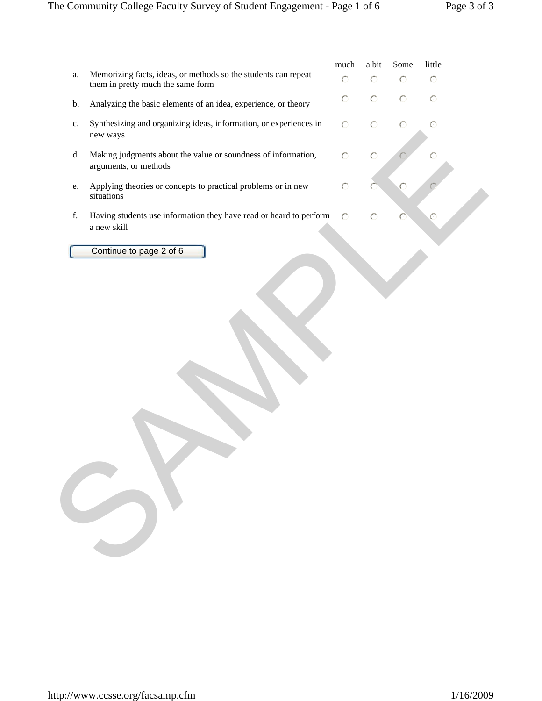|               |                                                                                                     | much      | a bit   | Some    | little  |  |
|---------------|-----------------------------------------------------------------------------------------------------|-----------|---------|---------|---------|--|
| ${\bf a}.$    | Memorizing facts, ideas, or methods so the students can repeat<br>them in pretty much the same form | $\circ$   | $\odot$ | $\circ$ | $\circ$ |  |
| b.            | Analyzing the basic elements of an idea, experience, or theory                                      | $\odot$   | $\odot$ | $\circ$ | $\circ$ |  |
| $\mathbf{c}.$ | Synthesizing and organizing ideas, information, or experiences in<br>new ways                       | $\circ$   | $\odot$ | $\circ$ | $\circ$ |  |
| d.            | Making judgments about the value or soundness of information,<br>arguments, or methods              | $\odot$   | $\circ$ |         | €       |  |
| e.            | Applying theories or concepts to practical problems or in new<br>situations                         | $\circ$   |         |         |         |  |
| f.            | Having students use information they have read or heard to perform<br>a new skill                   | $\bigcap$ | O       |         |         |  |
|               | Continue to page 2 of 6                                                                             |           |         |         |         |  |
|               |                                                                                                     |           |         |         |         |  |
|               |                                                                                                     |           |         |         |         |  |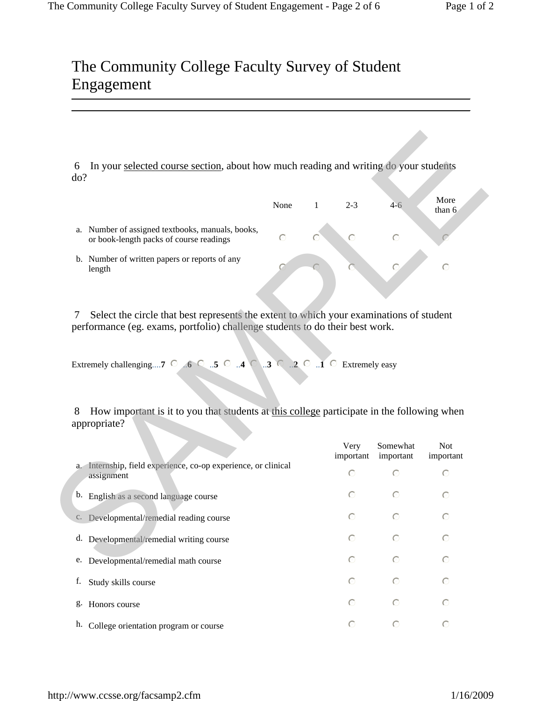|    |                                                                                          | None |         | $2 - 3$ | 4-6 | More<br>than $6$ |
|----|------------------------------------------------------------------------------------------|------|---------|---------|-----|------------------|
| a. | Number of assigned textbooks, manuals, books,<br>or book-length packs of course readings | ∩    | $\odot$ |         |     |                  |
|    | b. Number of written papers or reports of any<br>length                                  |      |         |         |     |                  |

| In your selected course section, about how much reading and writing do your students<br>6<br>do?                                                                             |           |              |                         |                      |                         |
|------------------------------------------------------------------------------------------------------------------------------------------------------------------------------|-----------|--------------|-------------------------|----------------------|-------------------------|
|                                                                                                                                                                              | None      | $\mathbf{1}$ | $2 - 3$                 | $4-6$                | More<br>than 6          |
| a. Number of assigned textbooks, manuals, books,<br>or book-length packs of course readings                                                                                  | $\subset$ |              | ∩                       | $\odot$              |                         |
| b. Number of written papers or reports of any<br>length                                                                                                                      |           |              |                         |                      | $\odot$                 |
| Select the circle that best represents the extent to which your examinations of student<br>7<br>performance (eg. exams, portfolio) challenge students to do their best work. |           |              |                         |                      |                         |
|                                                                                                                                                                              |           |              |                         |                      |                         |
| How important is it to you that students at this college participate in the following when<br>8                                                                              |           |              |                         |                      |                         |
|                                                                                                                                                                              |           |              | Very                    | Somewhat             | <b>Not</b>              |
| a. Internship, field experience, co-op experience, or clinical<br>assignment                                                                                                 |           |              | important<br>$\bigcirc$ | important<br>$\odot$ | $\bigcap$               |
| b. English as a second language course                                                                                                                                       |           |              | ∩                       | ⊙                    | O                       |
| c. Developmental/remedial reading course                                                                                                                                     |           |              | $\bigcap$               | ⊙                    | ∩                       |
| d. Developmental/remedial writing course                                                                                                                                     |           |              | $\bigcirc$              | $\odot$              | $\odot$                 |
| e. Developmental/remedial math course                                                                                                                                        |           |              | ⊙                       | $\odot$              | $\odot$                 |
| Extremely challenging7 $\odot$ 6 $\odot$ 5 $\odot$ 4 $\odot$ 3 $\odot$ 2 $\odot$ 1 $\odot$ Extremely easy<br>appropriate?<br>f. Study skills course                          |           |              | ⊙                       | $\odot$              | important<br>$\bigcirc$ |
| g. Honors course                                                                                                                                                             |           |              | ∩                       | $\odot$              | $\odot$                 |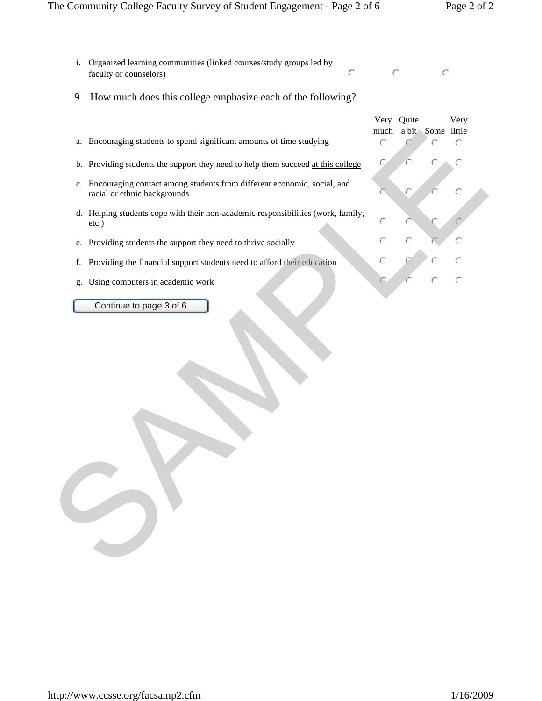#### The Community College Faculty Survey of Student Engagement - Page 2 of 6 Page 2 of 2

- i. Organized learning communities (linked courses/study groups led by faculty or counselors) nml  $\overline{C}$  nml
- 9 How much does this college emphasize each of the following?

|                                                                                                            | much      | Very Quite | a bit Some little | Very      |  |
|------------------------------------------------------------------------------------------------------------|-----------|------------|-------------------|-----------|--|
| a. Encouraging students to spend significant amounts of time studying                                      | $\odot$   |            |                   | $\bigcap$ |  |
| b. Providing students the support they need to help them succeed at this college                           | $\subset$ |            |                   | $\subset$ |  |
| c. Encouraging contact among students from different economic, social, and<br>racial or ethnic backgrounds |           |            |                   | $\odot$   |  |
| d. Helping students cope with their non-academic responsibilities (work, family,<br>etc.)                  | C         |            |                   |           |  |
| Providing students the support they need to thrive socially<br>e.                                          | $\odot$   | O          |                   | €         |  |
| Providing the financial support students need to afford their education<br>f.                              | $\circ$   |            |                   |           |  |
| Using computers in academic work<br>g.                                                                     |           |            |                   | $\subset$ |  |
| Continue to page 3 of 6                                                                                    |           |            |                   |           |  |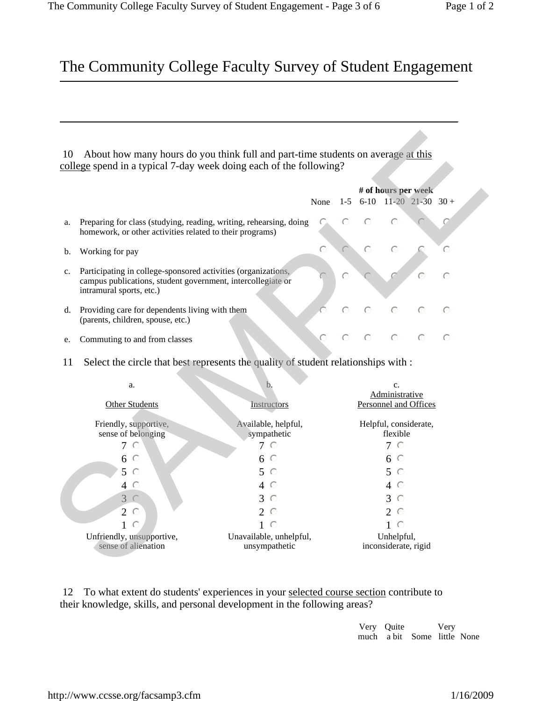|    |                                                                                                                                                          |      | # of hours per week |                                                                   |  |   |  |
|----|----------------------------------------------------------------------------------------------------------------------------------------------------------|------|---------------------|-------------------------------------------------------------------|--|---|--|
|    |                                                                                                                                                          | None |                     | $1-5$ 6-10 11-20 21-30 30 +                                       |  |   |  |
| a. | Preparing for class (studying, reading, writing, rehearsing, doing<br>homework, or other activities related to their programs)                           |      |                     |                                                                   |  |   |  |
| b. | Working for pay                                                                                                                                          |      |                     |                                                                   |  | ◯ |  |
|    | Participating in college-sponsored activities (organizations,<br>campus publications, student government, intercollegiate or<br>intramural sports, etc.) |      |                     |                                                                   |  |   |  |
| d. | Providing care for dependents living with them<br>(parents, children, spouse, etc.)                                                                      |      |                     | $\begin{array}{cccc}\n\circ & \circ & \circ & \circ\n\end{array}$ |  |   |  |
|    | Commuting to and from classes                                                                                                                            |      |                     | $\circ$ $\circ$                                                   |  |   |  |

| $10^{\circ}$   | About how many hours do you think full and part-time students on average at this<br>college spend in a typical 7-day week doing each of the following?   |                                          |           |            |           |                                    |                              |           |
|----------------|----------------------------------------------------------------------------------------------------------------------------------------------------------|------------------------------------------|-----------|------------|-----------|------------------------------------|------------------------------|-----------|
|                |                                                                                                                                                          |                                          |           |            |           |                                    |                              |           |
|                |                                                                                                                                                          |                                          |           |            |           |                                    | # of hours per week          |           |
|                |                                                                                                                                                          |                                          | None      | $1-5$      |           |                                    | $6-10$ $11-20$ $21-30$ $30+$ |           |
| a.             | Preparing for class (studying, reading, writing, rehearsing, doing<br>homework, or other activities related to their programs)                           |                                          | ∩         | $\bigcirc$ | ⊙         | ⊙                                  |                              |           |
| b.             | Working for pay                                                                                                                                          |                                          | $\subset$ |            | $\subset$ | $\bigcap$                          |                              | $\subset$ |
| C <sub>1</sub> | Participating in college-sponsored activities (organizations,<br>campus publications, student government, intercollegiate or<br>intramural sports, etc.) |                                          |           | $\circ$    |           |                                    |                              | $\bigcap$ |
|                | d. Providing care for dependents living with them<br>(parents, children, spouse, etc.)                                                                   |                                          | C         | $\subset$  | $\bigcap$ | $\subset$                          | $\subset$                    | $\bigcap$ |
| e.             | Commuting to and from classes                                                                                                                            |                                          |           |            |           |                                    |                              | $\bigcap$ |
| 11             | Select the circle that best represents the quality of student relationships with :                                                                       |                                          |           |            |           |                                    |                              |           |
|                |                                                                                                                                                          |                                          |           |            |           |                                    |                              |           |
|                | a.                                                                                                                                                       | b.                                       |           |            |           | $\mathbf{c}$ .<br>Administrative   |                              |           |
|                | <b>Other Students</b>                                                                                                                                    | Instructors                              |           |            |           |                                    | Personnel and Offices        |           |
|                | Friendly, supportive,                                                                                                                                    | Available, helpful,                      |           |            |           |                                    | Helpful, considerate,        |           |
|                | sense of belonging                                                                                                                                       | sympathetic                              |           |            |           | flexible                           |                              |           |
|                | $7^\circ$                                                                                                                                                | 7 O                                      |           |            |           | 7 O                                |                              |           |
|                | $6^\circ$                                                                                                                                                | $6^\circ$                                |           |            |           | $6^\circ$                          |                              |           |
|                | 5<br>$\odot$                                                                                                                                             | $5^\circ$                                |           |            |           | 5<br>$\odot$                       |                              |           |
|                | $4\circ$                                                                                                                                                 | 4 O                                      |           |            |           | 4 O                                |                              |           |
|                | 3C                                                                                                                                                       | 3<br>- C                                 |           |            |           | 3<br>$\odot$                       |                              |           |
|                | $2^\circ$                                                                                                                                                | 2 $\circ$                                |           |            |           | 2. $\odot$                         |                              |           |
|                | $1^\circ$                                                                                                                                                | $1 \circ$                                |           |            |           | $1\circ$                           |                              |           |
|                | Unfriendly, unsupportive,<br>sense of alienation                                                                                                         | Unavailable, unhelpful,<br>unsympathetic |           |            |           | Unhelpful,<br>inconsiderate, rigid |                              |           |

12 To what extent do students' experiences in your selected course section contribute to their knowledge, skills, and personal development in the following areas?

> Very Quite much a bit Some little None Very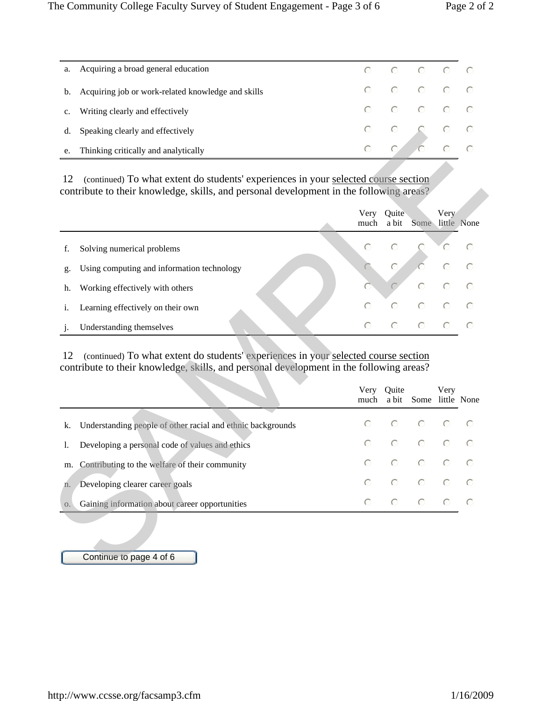| a.          | Acquiring a broad general education                   |  | $\begin{array}{ccccccccccccccccc} \circ & \circ & \circ & \circ & \circ & \circ & \circ \end{array}$ |  |
|-------------|-------------------------------------------------------|--|------------------------------------------------------------------------------------------------------|--|
|             | b. Acquiring job or work-related knowledge and skills |  | $\begin{array}{ccccccccccccccccc} \circ & \circ & \circ & \circ & \circ & \circ & \circ \end{array}$ |  |
| $c_{\cdot}$ | Writing clearly and effectively                       |  | $\begin{array}{ccccccccccccccccc} \circ & \circ & \circ & \circ & \circ & \circ & \circ \end{array}$ |  |
|             | d. Speaking clearly and effectively                   |  |                                                                                                      |  |
|             | e. Thinking critically and analytically               |  |                                                                                                      |  |

| contribute to their knowledge, skills, and personal development in the following areas?                                                                                                                                            |              |                |                        |           |                                   |
|------------------------------------------------------------------------------------------------------------------------------------------------------------------------------------------------------------------------------------|--------------|----------------|------------------------|-----------|-----------------------------------|
|                                                                                                                                                                                                                                    | Very<br>much | Quite<br>a bit | Some little None       | Very      |                                   |
| Solving numerical problems<br>f.                                                                                                                                                                                                   | $\bigcirc$   | $\bigcap$      |                        | €         | ⊙                                 |
| Using computing and information technology<br>g.                                                                                                                                                                                   |              | $\odot$        |                        | $\odot$   |                                   |
| Working effectively with others<br>h.                                                                                                                                                                                              |              |                | $\odot$                | $\bigcap$ | $\bigcirc$                        |
|                                                                                                                                                                                                                                    | $\circ$      | $\bigcap$      | $\odot$                | $\subset$ |                                   |
| Learning effectively on their own<br>i.                                                                                                                                                                                            |              |                |                        |           |                                   |
| Understanding themselves<br>$\mathbf{i}$ .<br>(continued) To what extent do students' experiences in your selected course section<br>12<br>contribute to their knowledge, skills, and personal development in the following areas? | $\bigcap$    | $\bigcap$      | $\odot$                | $\odot$   |                                   |
|                                                                                                                                                                                                                                    | Very<br>much | Quite          | a bit Some little None | Very      |                                   |
| Understanding people of other racial and ethnic backgrounds                                                                                                                                                                        | $\bigcirc$   |                |                        |           |                                   |
| Developing a personal code of values and ethics                                                                                                                                                                                    | $\bigcap$    | $\bigcap$      | $\bigcap$              | $\subset$ |                                   |
| Contributing to the welfare of their community                                                                                                                                                                                     | $\bigcap$    | $\odot$        | $\circ$                | $\odot$   |                                   |
| k.<br>1.<br>m.<br>Developing clearer career goals<br>n.                                                                                                                                                                            | $\bigcap$    | $\circ$        | $\circ$                | $\bigcap$ | $\bigcap$<br>$\subset$<br>$\odot$ |

|                                                                |  | Very Quite Very<br>much a bit Some little None                                                       |  |
|----------------------------------------------------------------|--|------------------------------------------------------------------------------------------------------|--|
| k. Understanding people of other racial and ethnic backgrounds |  | $\begin{array}{ccccccccccccccccc} \circ & \circ & \circ & \circ & \circ & \circ & \circ \end{array}$ |  |
| Developing a personal code of values and ethics                |  | $\begin{array}{ccccccccccccccccc} \circ & \circ & \circ & \circ & \circ & \circ & \circ \end{array}$ |  |
| m. Contributing to the welfare of their community              |  | $\begin{array}{ccccccccccccccccc} \circ & \circ & \circ & \circ & \circ & \circ & \circ \end{array}$ |  |
| n. Developing clearer career goals                             |  | $\begin{array}{ccccccccccccccccc} \circ & \circ & \circ & \circ & \circ & \circ & \circ \end{array}$ |  |
| o. Gaining information about career opportunities              |  | $\begin{array}{ccccccccccccccccc} \circ & \circ & \circ & \circ & \circ & \circ & \circ \end{array}$ |  |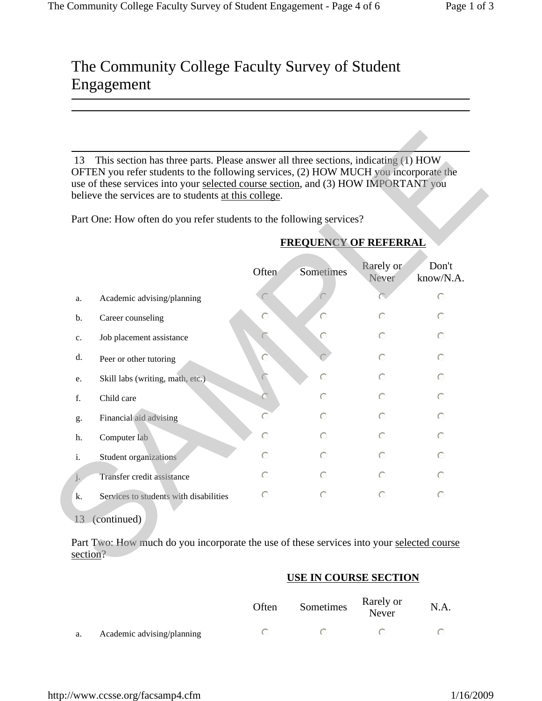|       | OFTEN you refer students to the following services, (2) HOW MUCH you incorporate the<br>use of these services into your selected course section, and (3) HOW IMPORTANT you<br>believe the services are to students at this college. |           |                              |                    |                    |
|-------|-------------------------------------------------------------------------------------------------------------------------------------------------------------------------------------------------------------------------------------|-----------|------------------------------|--------------------|--------------------|
|       | Part One: How often do you refer students to the following services?                                                                                                                                                                |           |                              |                    |                    |
|       |                                                                                                                                                                                                                                     |           | <b>FREQUENCY OF REFERRAL</b> |                    |                    |
|       |                                                                                                                                                                                                                                     | Often     | Sometimes                    | Rarely or<br>Never | Don't<br>know/N.A. |
| a.    | Academic advising/planning                                                                                                                                                                                                          |           |                              |                    | $\odot$            |
| b.    | Career counseling                                                                                                                                                                                                                   | ∩         | $\subset$                    | $\bigcap$          | $\odot$            |
| c.    | Job placement assistance                                                                                                                                                                                                            |           |                              | $\subset$          | $\bigcap$          |
| d.    | Peer or other tutoring                                                                                                                                                                                                              |           |                              | $\odot$            | $\odot$            |
| e.    | Skill labs (writing, math, etc.)                                                                                                                                                                                                    |           | $\subset$                    | $\bigcap$          | $\odot$            |
| f.    | Child care                                                                                                                                                                                                                          |           |                              | $\subset$          | $\subset$          |
| g.    | Financial aid advising                                                                                                                                                                                                              | $\subset$ | ◯                            | ∩                  | $\odot$            |
| h.    | Computer lab                                                                                                                                                                                                                        | ◯         | ∩                            | ⊙                  | $\odot$            |
| i.    | Student organizations                                                                                                                                                                                                               | $\subset$ | $\subset$                    | $\subset$          | $\subset$          |
| $j$ . | Transfer credit assistance                                                                                                                                                                                                          | ⊙         | $\subset$                    | ⊙                  | $\odot$            |
| k.    | Services to students with disabilities                                                                                                                                                                                              | $\subset$ | $\subset$                    | $\bigcap$          | $\bigcap$          |
|       | 13 (continued)                                                                                                                                                                                                                      |           |                              |                    |                    |

#### **FREQUENCY OF REFERRAL**

#### **USE IN COURSE SECTION**

|    |                            | Often | Sometimes | Rarely or<br>Never | N.A. |
|----|----------------------------|-------|-----------|--------------------|------|
| a. | Academic advising/planning |       |           |                    |      |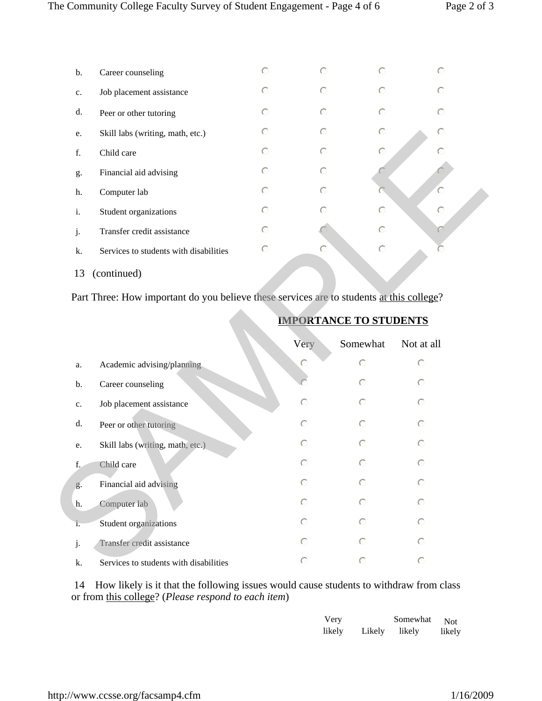| $\mathbf b$ . | Career counseling                      | $\circ$ | $\bigcap$ | $\circ$ | $\odot$ |  |
|---------------|----------------------------------------|---------|-----------|---------|---------|--|
| $C_{\star}$   | Job placement assistance               | $\odot$ | $\circ$   | $\circ$ | $\odot$ |  |
| d.            | Peer or other tutoring                 | $\odot$ | $\odot$   | $\odot$ | $\odot$ |  |
| e.            | Skill labs (writing, math, etc.)       | $\odot$ | $\odot$   | $\odot$ | $\odot$ |  |
| f.            | Child care                             | $\circ$ | $\circ$   | $\odot$ | $\circ$ |  |
| g.            | Financial aid advising                 | $\odot$ | $\circ$   |         |         |  |
| h.            | Computer lab                           | $\circ$ | $\bigcap$ |         | $\circ$ |  |
| i.            | Student organizations                  | $\odot$ | $\odot$   | $\circ$ | $\circ$ |  |
| j.            | Transfer credit assistance             | $\odot$ |           | $\circ$ | C       |  |
| k.            | Services to students with disabilities | $\circ$ | $\circ$   | $\circ$ |         |  |
| 13            | (continued)                            |         |           |         |         |  |

| e.             | Skill labs (writing, math, etc.)                                                         | O          | C         |                               | €          |  |
|----------------|------------------------------------------------------------------------------------------|------------|-----------|-------------------------------|------------|--|
| f.             | Child care                                                                               | $\bigcirc$ | $\odot$   | $\subset$                     |            |  |
| g.             | Financial aid advising                                                                   | $\odot$    | $\bigcap$ |                               |            |  |
| h.             | Computer lab                                                                             | $\bigcirc$ | $\bigcap$ |                               | C          |  |
| i.             | Student organizations                                                                    | $\odot$    | O         | $\odot$                       | $\odot$    |  |
| j.             | Transfer credit assistance                                                               | $\odot$    |           | $\circ$                       |            |  |
| k.             | Services to students with disabilities                                                   | $\odot$    | $\subset$ | $\circ$                       | C          |  |
| 13             | (continued)                                                                              |            |           |                               |            |  |
|                | Part Three: How important do you believe these services are to students at this college? |            |           |                               |            |  |
|                |                                                                                          |            |           | <b>IMPORTANCE TO STUDENTS</b> |            |  |
|                |                                                                                          |            | Very      | Somewhat                      | Not at all |  |
| a.             | Academic advising/planning                                                               |            | $\circ$   | $\circ$                       | $\circ$    |  |
| b.             | Career counseling                                                                        |            |           | $\circ$                       | $\circ$    |  |
| $\mathbf{c}$ . | Job placement assistance                                                                 |            | $\circ$   | $\odot$                       | $\bigcirc$ |  |
| d.             | Peer or other tutoring                                                                   |            | $\circ$   | $\odot$                       | $\circ$    |  |
| e.             | Skill labs (writing, math, etc.)                                                         |            | $\odot$   | $\bigcirc$                    | $\odot$    |  |
| f.             | Child care                                                                               |            | $\odot$   | $\odot$                       | $\odot$    |  |
| g.             | Financial aid advising                                                                   |            | $\odot$   | $\odot$                       | $\odot$    |  |
| h.             | Computer lab                                                                             |            | $\odot$   | $\odot$                       | $\odot$    |  |
| i.             | Student organizations                                                                    |            | $\odot$   | $\odot$                       | $\odot$    |  |
| j.             | Transfer credit assistance                                                               |            | $\odot$   | $\bigcirc$                    | $\circ$    |  |
| k.             |                                                                                          |            | $\bigcap$ | $\bigcirc$                    | $\bigcap$  |  |

 14 How likely is it that the following issues would cause students to withdraw from class or from this college? (*Please respond to each item*)

| Very   |        | Somewhat | <b>Not</b> |
|--------|--------|----------|------------|
| likely | Likely | likely   | likely     |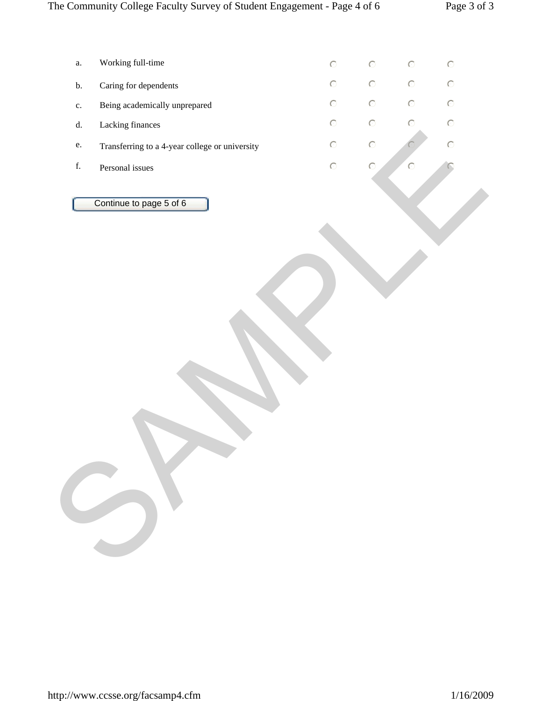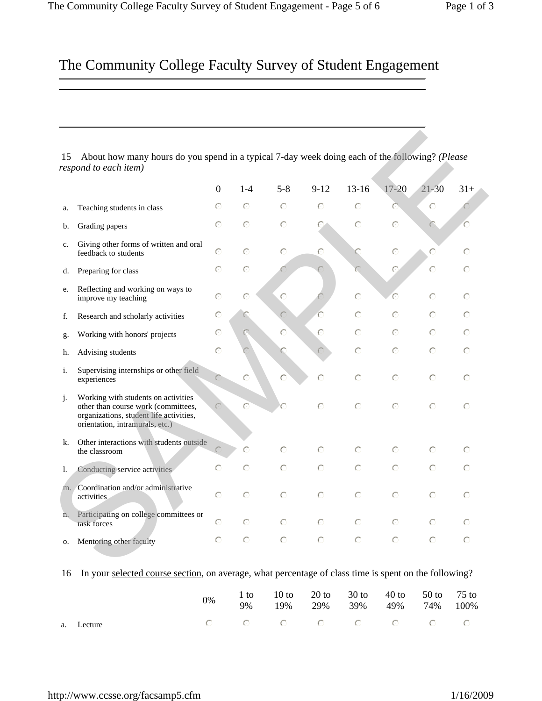|    |                                                                                                                                                          | $\mathbf{0}$ | $1 - 4$   | $5 - 8$   | $9 - 12$  | $13 - 16$  | $17 - 20$ | $21 - 30$ | $31+$     |
|----|----------------------------------------------------------------------------------------------------------------------------------------------------------|--------------|-----------|-----------|-----------|------------|-----------|-----------|-----------|
| a. | Teaching students in class                                                                                                                               | $\odot$      | $\bigcap$ | $\odot$   | $\odot$   | $\bigcirc$ |           | $\circ$   |           |
| b. | Grading papers                                                                                                                                           | $\bigcap$    | $\bigcap$ | $\bigcap$ | C         | $\bigcirc$ | $\odot$   | $\subset$ | C         |
| c. | Giving other forms of written and oral<br>feedback to students                                                                                           | $\bigcirc$   | $\bigcap$ | $\odot$   | $\bigcap$ |            | $\circ$   | $\odot$   | $\bigcap$ |
| d. | Preparing for class                                                                                                                                      | $\bigcirc$   | $\odot$   |           |           |            | O         | $\odot$   | $\bigcap$ |
| e. | Reflecting and working on ways to<br>improve my teaching                                                                                                 | $\bigcap$    | $\bigcap$ | $\odot$   |           | $\circ$    | ∩         | $\odot$   | $\bigcap$ |
| f. | Research and scholarly activities                                                                                                                        | O            |           |           |           | $\odot$    | $\odot$   | $\odot$   | $\odot$   |
| g. | Working with honors' projects                                                                                                                            | ⊙            |           | $\bigcap$ | $\odot$   | $\odot$    | $\bigcap$ | $\odot$   | $\bigcap$ |
| h. | Advising students                                                                                                                                        | $\circ$      |           | С.        |           | $\odot$    | $\odot$   | $\odot$   | $\odot$   |
| i. | Supervising internships or other field<br>experiences                                                                                                    |              | $\circ$   | $\bigcap$ | $\odot$   | $\bigcirc$ | $\odot$   | $\odot$   | $\odot$   |
| j. | Working with students on activities<br>other than course work (committees,<br>organizations, student life activities,<br>orientation, intramurals, etc.) |              | ∩         |           | $\odot$   | $\bigcap$  | $\odot$   | $\bigcap$ | $\odot$   |
| k. | Other interactions with students outside<br>the classroom                                                                                                |              | C         | $\odot$   | $\odot$   | $\odot$    | $\odot$   | $\odot$   | $\subset$ |
| 1. | Conducting service activities                                                                                                                            | $\subset$    | $\odot$   | $\circ$   | $\odot$   | $\odot$    | $\odot$   | $\odot$   | $\bigcap$ |
| m. | Coordination and/or administrative<br>activities                                                                                                         | ⊙            | $\bigcap$ | $\bigcap$ | $\odot$   | $\odot$    | $\odot$   | $\bigcap$ | $\odot$   |
| n. | Participating on college committees or<br>task forces                                                                                                    | $\subset$    | $\odot$   | $\odot$   | $\odot$   | $\odot$    | $\bigcap$ | $\odot$   | $\bigcap$ |
| о. | Mentoring other faculty                                                                                                                                  | $\bigcap$    | $\odot$   | $\odot$   | $\odot$   | $\odot$    | $\bigcap$ | $\odot$   | $\odot$   |

#### 16 In your selected course section, on average, what percentage of class time is spent on the following?

|            | 0% | 1 to 10 to 20 to 30 to 40 to 50 to 75 to<br>9% 19% 29% 39% 49% 74% 100% |  |  |  |
|------------|----|-------------------------------------------------------------------------|--|--|--|
| a. Lecture |    |                                                                         |  |  |  |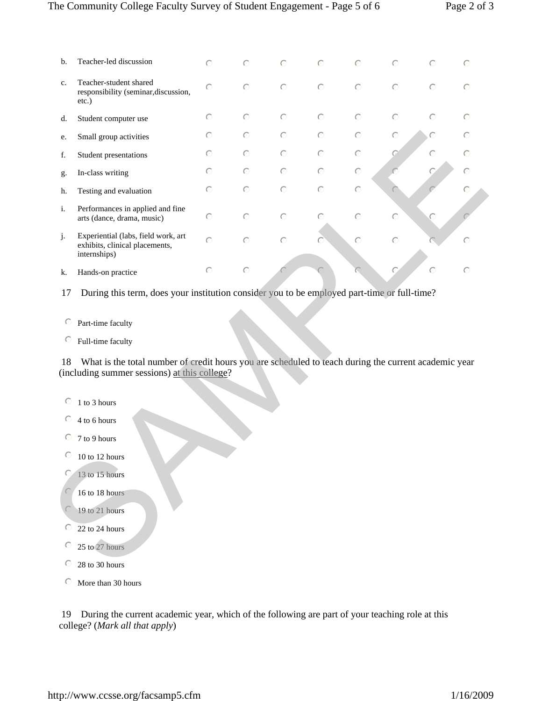| b.      | Teacher-led discussion                                                                                                                                                    | $\odot$ | $\odot$ | $\odot$    | $\odot$ | $\bigcirc$ | $\odot$ | $\odot$   | C          |
|---------|---------------------------------------------------------------------------------------------------------------------------------------------------------------------------|---------|---------|------------|---------|------------|---------|-----------|------------|
| c.      | Teacher-student shared<br>responsibility (seminar, discussion,<br>$etc.$ )                                                                                                | $\odot$ | $\circ$ | $\circ$    | $\circ$ | $\circ$    | $\circ$ | $\circ$   | $\odot$    |
| d.      | Student computer use                                                                                                                                                      | $\odot$ | $\odot$ | $\circ$    | $\circ$ | $\odot$    | $\circ$ | $\odot$   | $\odot$    |
| e.      | Small group activities                                                                                                                                                    | $\odot$ | $\odot$ | $\odot$    | $\circ$ | $\odot$    | $\odot$ |           | $\odot$    |
| f.      | Student presentations                                                                                                                                                     | $\odot$ | $\odot$ | $\odot$    | $\circ$ | $\circ$    |         | $\odot$   | $\subset$  |
| g.      | In-class writing                                                                                                                                                          | $\circ$ | $\odot$ | $\bigcirc$ | $\circ$ | $\circ$    |         |           | $\odot$    |
| h.      | Testing and evaluation                                                                                                                                                    | $\circ$ | $\circ$ | $\circ$    | $\circ$ | $\circ$    |         |           | $\bigcirc$ |
| i.      | Performances in applied and fine<br>arts (dance, drama, music)                                                                                                            | $\circ$ | $\circ$ | $\circ$    | $\circ$ | $\circ$    | $\odot$ |           |            |
| j.      | Experiential (labs, field work, art<br>exhibits, clinical placements,<br>internships)                                                                                     | $\circ$ | $\odot$ | $\circ$    |         | $\circ$    | $\odot$ |           | C          |
| k.      | Hands-on practice                                                                                                                                                         | $\odot$ | $\circ$ |            |         |            |         | $\bigcap$ | $\bigcap$  |
| 18      | Full-time faculty<br>What is the total number of credit hours you are scheduled to teach during the current academic year<br>(including summer sessions) at this college? |         |         |            |         |            |         |           |            |
| $\odot$ | 1 to 3 hours                                                                                                                                                              |         |         |            |         |            |         |           |            |
| O       | 4 to 6 hours                                                                                                                                                              |         |         |            |         |            |         |           |            |
| O       | 7 to 9 hours                                                                                                                                                              |         |         |            |         |            |         |           |            |
| $\circ$ | 10 to 12 hours                                                                                                                                                            |         |         |            |         |            |         |           |            |
| $\odot$ | 13 to 15 hours                                                                                                                                                            |         |         |            |         |            |         |           |            |
|         |                                                                                                                                                                           |         |         |            |         |            |         |           |            |
|         | 16 to 18 hours                                                                                                                                                            |         |         |            |         |            |         |           |            |
|         | 19 to 21 hours                                                                                                                                                            |         |         |            |         |            |         |           |            |
| $\circ$ | 22 to 24 hours                                                                                                                                                            |         |         |            |         |            |         |           |            |
| $\circ$ | 25 to 27 hours                                                                                                                                                            |         |         |            |         |            |         |           |            |

- $\odot$ 1 to 3 hours
- $\degree$  4 to 6 hours
- $\odot$ 7 to 9 hours
- $\degree$  10 to 12 hours
- $\odot$ 13 to 15 hours
- $\odot$ 16 to 18 hours

- $\odot$ 19 to 21 hours
- $\degree$  22 to 24 hours
- $\odot$ 25 to 27 hours
- $\odot$ 28 to 30 hours
- $\odot$  More than 30 hours

 19 During the current academic year, which of the following are part of your teaching role at this college? (*Mark all that apply*)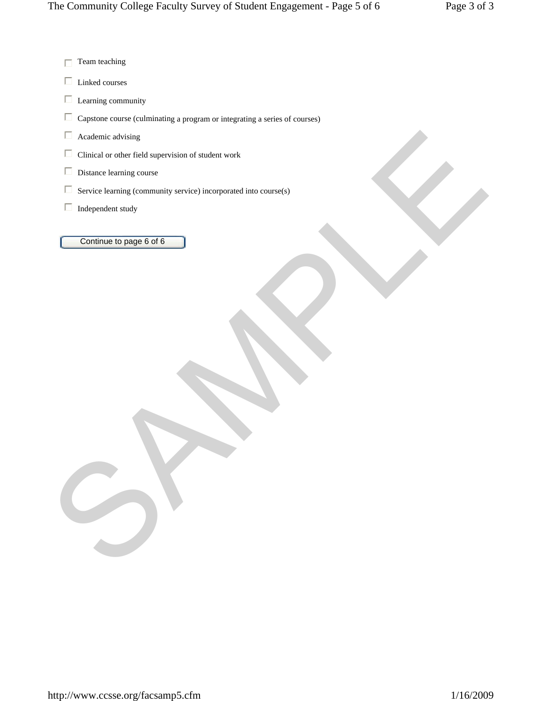$\Box$  Team teaching

 $\Box$ Linked courses

 $\Box$ Learning community

 $\Box$ Capstone course (culminating a program or integrating a series of courses)

 $\Box$ Academic advising

 $\Box$ Clinical or other field supervision of student work

 $\Box$ Distance learning course

 $\Box$ Service learning (community service) incorporated into course(s) The China de coher lied supervision of stadent work<br>
The Same Leming community vervice) incorporated into council)<br>
The Same Leming community vervice) incorporated into council)<br>
The Continue to page is of is<br>
Continue to

 $\Box$ Independent study

Continue to page 6 of 6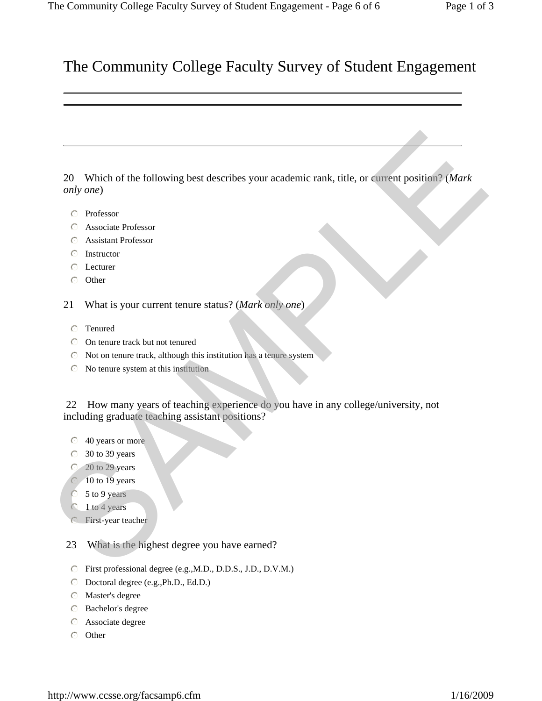20 Which of the following best describes your academic rank, title, or current position? (*Mark only one*) 20 Which of the following best describes your academic rank, title, or cerrent position? (Mark<br>
conty ome)<br>
C Professor<br>
C Assistant Professor<br>
C Assistant Professor<br>
C Assistant Professor<br>
C Assistant Professor<br>
C Lectur

- $\odot$  Professor
- $\odot$  Associate Professor
- $\circ$  Assistant Professor
- $\odot$  Instructor
- $\odot$  Lecturer
- $\odot$  Other
- 21 What is your current tenure status? (*Mark only one*)
	- $\circ$  Tenured
	- $\odot$  On tenure track but not tenured
	- $\odot$  Not on tenure track, although this institution has a tenure system
	- $\odot$  No tenure system at this institution

 22 How many years of teaching experience do you have in any college/university, not including graduate teaching assistant positions?

- $\odot$  40 years or more
- $\degree$  30 to 39 years
- $\odot$  20 to 29 years
- $10$  to  $19$  years
- 5 to 9 years
- $\bigcirc$  1 to 4 years
- **C** First-year teacher
- 23 What is the highest degree you have earned?
- $\degree$  First professional degree (e.g., M.D., D.D.S., J.D., D.V.M.)
- $\odot$  Doctoral degree (e.g., Ph.D., Ed.D.)
- $\odot$  Master's degree
- $\odot$  Bachelor's degree
- $\odot$  Associate degree
- $\odot$  Other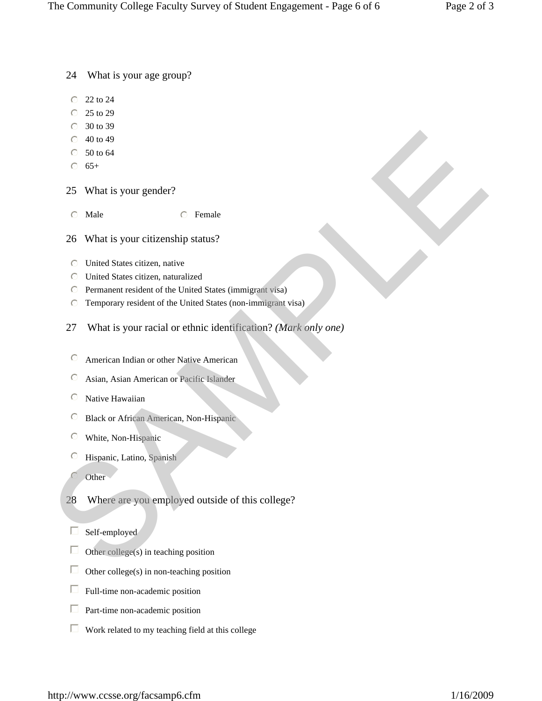24 What is your age group?

- $\degree$  22 to 24
- $\degree$  25 to 29
- $\degree$  30 to 39
- $\degree$  40 to 49
- $\degree$  50 to 64
- $\odot$  65+
- 25 What is your gender?
- $\odot$  Male  $\odot$  Female
- 26 What is your citizenship status?
- $\odot$  United States citizen, native
- $\odot$  United States citizen, naturalized
- $\degree$  Permanent resident of the United States (immigrant visa)
- $\degree$  Temporary resident of the United States (non-immigrant visa)
- 27 What is your racial or ethnic identification? *(Mark only one)* C 40 to 49<br>
S 10 to 64<br>
25 What is your gender?<br>
C K-<br>
25 What is your citizenship status?<br>
C United States citizen, nature<br>
C United States citizen, naturalized<br>
C Permement resident of the United States (interior state)
	- $\degree$  American Indian or other Native American
	- $\odot$ Asian, Asian American or Pacific Islander
	- $\odot$ Native Hawaiian
	- $\odot$ Black or African American, Non-Hispanic
	- $\odot$ White, Non-Hispanic
	- $\odot$ Hispanic, Latino, Spanish
	- $\mathbb{C}$ í Other
	- 28 Where are you employed outside of this college?
	- $\Box$ I Self-employed
	- $\Box$ Other college(s) in teaching position
	- $\Box$ Other college(s) in non-teaching position
	- $\Box$  Full-time non-academic position
	- $\Box$  Part-time non-academic position
	- $\Box$ Work related to my teaching field at this college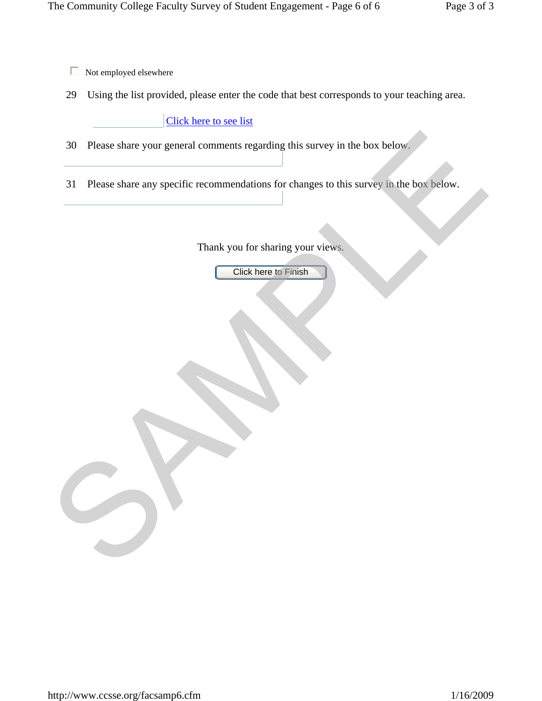- $\Box$ Not employed elsewhere
- 29 Using the list provided, please enter the code that best corresponds to your teaching area.

#### Click here to see list

- 30 Please share your general comments regarding this survey in the box below.
- 31 Please share any specific recommendations for changes to this survey in the box below. SO Please share your general comments regarding this survey in the box below.<br>
SAMPLE and share any specific recommendations for changes to this survey in the box below.<br>
Thank you for sharing your views<br>
Click here to Fin

Thank you for sharing your views.

Click here to Finish